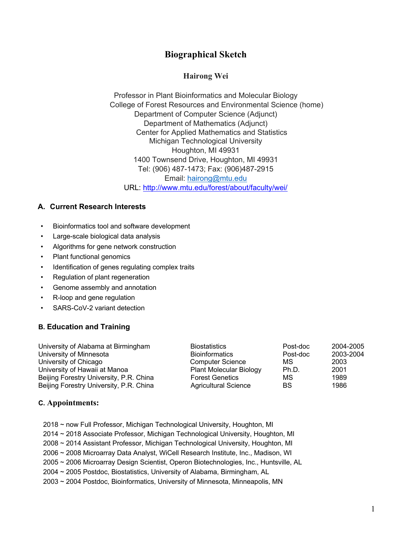# **Biographical Sketch**

### **Hairong Wei**

Professor in Plant Bioinformatics and Molecular Biology College of Forest Resources and Environmental Science (home) Department of Computer Science (Adjunct) Department of Mathematics (Adjunct) Center for Applied Mathematics and Statistics Michigan Technological University Houghton, MI 49931 1400 Townsend Drive, Houghton, MI 49931 Tel: (906) 487-1473; Fax: (906)487-2915 Email: hairong@mtu.edu URL: http://www.mtu.edu/forest/about/faculty/wei/

### **A. Current Research Interests**

- Bioinformatics tool and software development
- Large-scale biological data analysis
- Algorithms for gene network construction
- Plant functional genomics
- Identification of genes regulating complex traits
- Regulation of plant regeneration
- Genome assembly and annotation
- R-loop and gene regulation
- SARS-CoV-2 variant detection

## **B. Education and Training**

| University of Alabama at Birmingham     | <b>Biostatistics</b>           | Post-doc | 2004-2005 |
|-----------------------------------------|--------------------------------|----------|-----------|
| University of Minnesota                 | <b>Bioinformatics</b>          | Post-doc | 2003-2004 |
| University of Chicago                   | <b>Computer Science</b>        | МS       | 2003      |
| University of Hawaii at Manoa           | <b>Plant Molecular Biology</b> | Ph.D.    | 2001      |
| Beijing Forestry University, P.R. China | <b>Forest Genetics</b>         | МS       | 1989      |
| Beijing Forestry University, P.R. China | <b>Agricultural Science</b>    | BS       | 1986      |

#### **C. Appointments:**

- 2018 ~ now Full Professor, Michigan Technological University, Houghton, MI
- 2014 ~ 2018 Associate Professor, Michigan Technological University, Houghton, MI
- 2008 ~ 2014 Assistant Professor, Michigan Technological University, Houghton, MI
- 2006 ~ 2008 Microarray Data Analyst, WiCell Research Institute, Inc., Madison, WI
- 2005 ~ 2006 Microarray Design Scientist, Operon Biotechnologies, Inc., Huntsville, AL
- 2004 ~ 2005 Postdoc, Biostatistics, University of Alabama, Birmingham, AL
- 2003 ~ 2004 Postdoc, Bioinformatics, University of Minnesota, Minneapolis, MN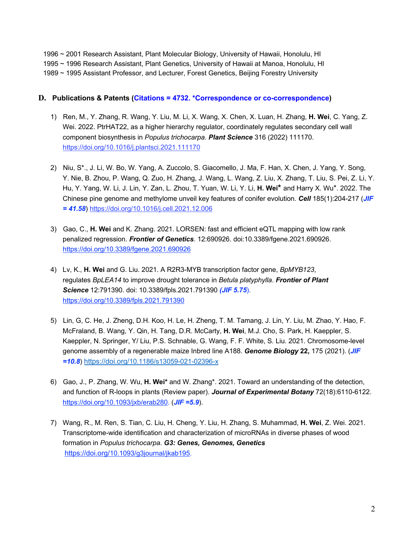1996 ~ 2001 Research Assistant, Plant Molecular Biology, University of Hawaii, Honolulu, HI 1995 ~ 1996 Research Assistant, Plant Genetics, University of Hawaii at Manoa, Honolulu, HI 1989 ~ 1995 Assistant Professor, and Lecturer, Forest Genetics, Beijing Forestry University

#### **D. Publications & Patents (Citations = 4732. \*Correspondence or co-correspondence)**

- 1) Ren, M., Y. Zhang, R. Wang, Y. Liu, M. Li, X. Wang, X. Chen, X. Luan, H. Zhang, **H. Wei**, C. Yang, Z. Wei. 2022. PtrHAT22, as a higher hierarchy regulator, coordinately regulates secondary cell wall component biosynthesis in *Populus trichocarpa*. *Plant Science* 316 (2022) 111170. https://doi.org/10.1016/j.plantsci.2021.111170
- 2) Niu, S\*., J. Li, W. Bo, W. Yang, A. Zuccolo, S. Giacomello, J. Ma, F. Han, X. Chen, J. Yang, Y. Song, Y. Nie, B. Zhou, P. Wang, Q. Zuo, H. Zhang, J. Wang, L. Wang, Z. Liu, X. Zhang, T. Liu, S. Pei, Z. Li, Y. Hu, Y. Yang, W. Li, J. Lin, Y. Zan, L. Zhou, T. Yuan, W. Li, Y. Li, **H. Wei\*** and Harry X. Wu\*. 2022. The Chinese pine genome and methylome unveil key features of conifer evolution. *Cell* 185(1):204-217 (*JIF = 41.58*) https://doi.org/10.1016/j.cell.2021.12.006
- 3) Gao, C., **H. Wei** and K. Zhang. 2021. LORSEN: fast and efficient eQTL mapping with low rank penalized regression. *Frontier of Genetics*. 12:690926. doi:10.3389/fgene.2021.690926. https://doi.org/10.3389/fgene.2021.690926
- 4) Lv, K., **H. Wei** and G. Liu. 2021. A R2R3-MYB transcription factor gene, *BpMYB123*, regulates *BpLEA14* to improve drought tolerance in *Betula platyphylla*. *Frontier of Plant Science* 12:791390. doi: 10.3389/fpls.2021.791390 *(JIF 5.75*). https://doi.org/10.3389/fpls.2021.791390
- 5) Lin, G, C. He, J. Zheng, D.H. Koo, H. Le, H. Zheng, T. M. Tamang, J. Lin, Y. Liu, M. Zhao, Y. Hao, F. McFraland, B. Wang, Y. Qin, H. Tang, D.R. McCarty, **H. Wei**, M.J. Cho, S. Park, H. Kaeppler, S. Kaeppler, N. Springer, Y/ Liu, P.S. Schnable, G. Wang, F. F. White, S. Liu. 2021. Chromosome-level genome assembly of a regenerable maize Inbred line A188. *Genome Biology* **22,** 175 (2021). (*JIF =10.8*) https://doi.org/10.1186/s13059-021-02396-x
- 6) Gao, J., P. Zhang, W. Wu, **H. Wei\*** and W. Zhang\*. 2021. Toward an understanding of the detection, and function of R-loops in plants (Review paper). *Journal of Experimental Botany* 72(18):6110-6122. https://doi.org/10.1093/jxb/erab280. (*JIF =5.9*).
- 7) Wang, R., M. Ren, S. Tian, C. Liu, H. Cheng, Y. Liu, H. Zhang, S. Muhammad, **H. Wei**, Z. Wei. 2021. Transcriptome-wide identification and characterization of microRNAs in diverse phases of wood formation in *Populus trichocarpa*. *G3: Genes, Genomes, Genetics* https://doi.org/10.1093/g3journal/jkab195.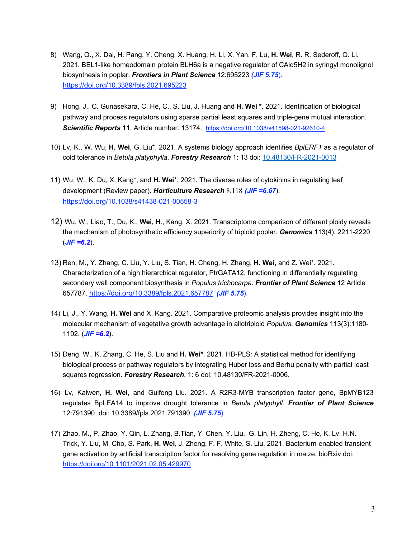- 8) Wang, Q., X. Dai, H. Pang, Y. Cheng, X. Huang, H. Li, X. Yan, F. Lu, **H. Wei**, R. R. Sederoff, Q. Li. 2021. BEL1-like homeodomain protein BLH6a is a negative regulator of CAld5H2 in syringyl monolignol biosynthesis in poplar. *Frontiers in Plant Science* 12:695223 *(JIF 5.75*). https://doi.org/10.3389/fpls.2021.695223
- 9) Hong, J., C. Gunasekara, C. He, C., S. Liu, J. Huang and **H. Wei \***. 2021. Identification of biological pathway and process regulators using sparse partial least squares and triple-gene mutual interaction. *Scientific Reports* **11**, Article number: 13174. https://doi.org/10.1038/s41598-021-92610-4
- 10) Lv, K., W. Wu, **H. Wei**, G. Liu\*. 2021. A systems biology approach identifies *BplERF1* as a regulator of cold tolerance in *Betula platyphylla*. *Forestry Research* 1: 13 doi: 10.48130/FR-2021-0013
- 11) Wu, W., K. Du, X. Kang\*, and **H. Wei**\*. 2021. The diverse roles of cytokinins in regulating leaf development (Review paper). *Horticulture Research* 8:118 *(JIF =6.67*). https://doi.org/10.1038/s41438-021-00558-3
- 12) Wu, W., Liao, T., Du, K., **Wei, H**., Kang, X. 2021. Transcriptome comparison of different ploidy reveals the mechanism of photosynthetic efficiency superiority of triploid poplar. *Genomics* 113(4): 2211-2220  $(JIF = 6.2)$ .
- 13) Ren, M., Y. Zhang, C. Liu, Y. Liu, S. Tian, H. Cheng, H. Zhang, **H. Wei**, and Z. Wei\*. 2021. Characterization of a high hierarchical regulator, PtrGATA12, functioning in differentially regulating secondary wall component biosynthesis in *Populus trichocarpa*. *Frontier of Plant Science* 12 Article 657787. https://doi.org/10.3389/fpls.2021.657787 *(JIF 5.75*).
- 14) Li, J., Y. Wang, **H. Wei** and X. Kang. 2021. Comparative proteomic analysis provides insight into the molecular mechanism of vegetative growth advantage in allotriploid *Populus*. *Genomics* 113(3):1180- 1192. (*JIF =6.2*).
- 15) Deng, W., K. Zhang, C. He, S. Liu and **H. Wei\***. 2021. HB-PLS: A statistical method for identifying biological process or pathway regulators by integrating Huber loss and Berhu penalty with partial least squares regression. *Forestry Research*. 1: 6 doi: 10.48130/FR-2021-0006.
- 16) Lv, Kaiwen, **H. Wei**, and Guifeng Liu. 2021. A R2R3-MYB transcription factor gene, BpMYB123 regulates BpLEA14 to improve drought tolerance in *Betula platyphyll*. *Frontier of Plant Science* 12:791390. doi: 10.3389/fpls.2021.791390. *(JIF 5.75*).
- 17) Zhao, M., P. Zhao, Y. Qin, L. Zhang, B.Tian, Y. Chen, Y. Liu, G. Lin, H. Zheng, C. He, K. Lv, H.N. Trick, Y. Liu, M. Cho, S. Park, **H. Wei**, J. Zheng, F. F. White, S. Liu. 2021. Bacterium-enabled transient gene activation by artificial transcription factor for resolving gene regulation in maize. bioRxiv doi: https://doi.org/10.1101/2021.02.05.429970.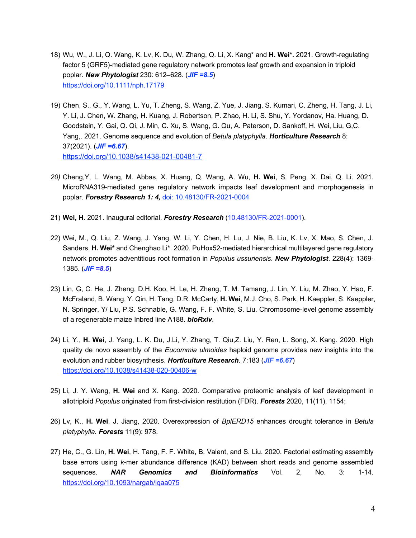- 18) Wu, W., J. Li, Q. Wang, K. Lv, K. Du, W. Zhang, Q. Li, X. Kang\* and **H. Wei\*.** 2021. Growth-regulating factor 5 (GRF5)-mediated gene regulatory network promotes leaf growth and expansion in triploid poplar. *New Phytologist* 230: 612–628. (*JIF =8.5*) https://doi.org/10.1111/nph.17179
- 19) Chen, S., G., Y. Wang, L. Yu, T. Zheng, S. Wang, Z. Yue, J. Jiang, S. Kumari, C. Zheng, H. Tang, J. Li, Y. Li, J. Chen, W. Zhang, H. Kuang, J. Robertson, P. Zhao, H. Li, S. Shu, Y. Yordanov, Ha. Huang, D. Goodstein, Y. Gai, Q. Qi, J. Min, C. Xu, S. Wang, G. Qu, A. Paterson, D. Sankoff, H. Wei, Liu, G,C. Yang,. 2021. Genome sequence and evolution of *Betula platyphylla*. *Horticulture Research* 8: 37(2021). (*JIF =6.67*). https://doi.org/10.1038/s41438-021-00481-7
- *20)* Cheng,Y, L. Wang, M. Abbas, X. Huang, Q. Wang, A. Wu, **H. Wei**, S. Peng, X. Dai, Q. Li. 2021. MicroRNA319-mediated gene regulatory network impacts leaf development and morphogenesis in poplar. *Forestry Research 1: 4,* doi: 10.48130/FR-2021-0004
- 21) **Wei, H**. 2021. Inaugural editorial. *Forestry Research* (10.48130/FR-2021-0001).
- 22) Wei, M., Q. Liu, Z. Wang, J. Yang, W. Li, Y. Chen, H. Lu, J. Nie, B. Liu, K. Lv, X. Mao, S. Chen, J. Sanders, **H. Wei\*** and Chenghao Li\*. 2020. PuHox52-mediated hierarchical multilayered gene regulatory network promotes adventitious root formation in *Populus ussuriensis*. *New Phytologist*. 228(4): 1369- 1385. (*JIF =8.5*)
- 23) Lin, G, C. He, J. Zheng, D.H. Koo, H. Le, H. Zheng, T. M. Tamang, J. Lin, Y. Liu, M. Zhao, Y. Hao, F. McFraland, B. Wang, Y. Qin, H. Tang, D.R. McCarty, **H. Wei**, M.J. Cho, S. Park, H. Kaeppler, S. Kaeppler, N. Springer, Y/ Liu, P.S. Schnable, G. Wang, F. F. White, S. Liu. Chromosome-level genome assembly of a regenerable maize Inbred line A188. *bioRxiv*.
- 24) Li, Y., **H. Wei**, J. Yang, L. K. Du, J.Li, Y. Zhang, T. Qiu,Z. Liu, Y. Ren, L. Song, X. Kang. 2020. High quality de novo assembly of the *Eucommia ulmoides* haploid genome provides new insights into the evolution and rubber biosynthesis. *Horticulture Research*. 7:183 (*JIF =6.67*) https://doi.org/10.1038/s41438-020-00406-w
- 25) Li, J. Y. Wang, **H. Wei** and X. Kang. 2020. Comparative proteomic analysis of leaf development in allotriploid *Populus* originated from first-division restitution (FDR). *Forests* 2020, 11(11), 1154;
- 26) Lv, K., **H. Wei**, J. Jiang, 2020. Overexpression of *BplERD15* enhances drought tolerance in *Betula platyphylla. Forests* 11(9): 978.
- 27) He, C., G. Lin, **H. Wei**, H. Tang, F. F. White, B. Valent, and S. Liu. 2020. Factorial estimating assembly base errors using *k*-mer abundance difference (KAD) between short reads and genome assembled sequences. *NAR Genomics and Bioinformatics* Vol. 2, No. 3: 1-14. https://doi.org/10.1093/nargab/lqaa075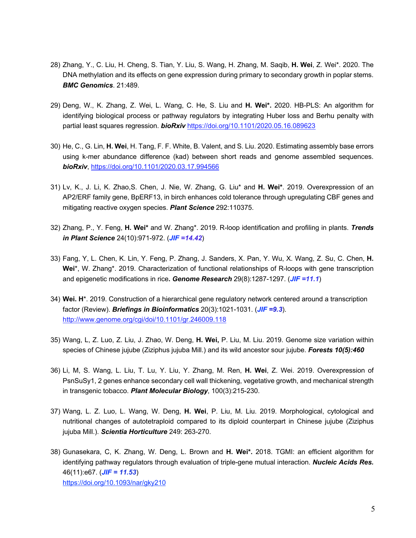- 28) Zhang, Y., C. Liu, H. Cheng, S. Tian, Y. Liu, S. Wang, H. Zhang, M. Saqib, **H. Wei**, Z. Wei\*. 2020. The DNA methylation and its effects on gene expression during primary to secondary growth in poplar stems. *BMC Genomics*. 21:489.
- 29) Deng, W., K. Zhang, Z. Wei, L. Wang, C. He, S. Liu and **H. Wei\*.** 2020. HB-PLS: An algorithm for identifying biological process or pathway regulators by integrating Huber loss and Berhu penalty with partial least squares regression. *bioRxiv* https://doi.org/10.1101/2020.05.16.089623
- 30) He, C., G. Lin, **H. Wei**, H. Tang, F. F. White, B. Valent, and S. Liu. 2020. Estimating assembly base errors using k-mer abundance difference (kad) between short reads and genome assembled sequences. *bioRxiv*, https://doi.org/10.1101/2020.03.17.994566
- 31) Lv, K., J. Li, K. Zhao,S. Chen, J. Nie, W. Zhang, G. Liu\* and **H. Wei\***. 2019. Overexpression of an AP2/ERF family gene, BpERF13, in birch enhances cold tolerance through upregulating CBF genes and mitigating reactive oxygen species. *Plant Science* 292:110375.
- 32) Zhang, P., Y. Feng, **H. Wei\*** and W. Zhang\*. 2019. R-loop identification and profiling in plants. *Trends in Plant Science* 24(10):971-972. (*JIF =14.42*)
- 33) Fang, Y, L. Chen, K. Lin, Y. Feng, P. Zhang, J. Sanders, X. Pan, Y. Wu, X. Wang, Z. Su, C. Chen, **H. Wei**\*, W. Zhang\*. 2019. Characterization of functional relationships of R-loops with gene transcription and epigenetic modifications in rice**.** *Genome Research* 29(8):1287-1297. (*JIF =11.1*)
- 34) **Wei. H**\*. 2019. Construction of a hierarchical gene regulatory network centered around a transcription factor (Review). *Briefings in Bioinformatics* 20(3):1021-1031. (*JIF =9.3*). http://www.genome.org/cgi/doi/10.1101/gr.246009.118
- 35) Wang, L, Z. Luo, Z. Liu, J. Zhao, W. Deng, **H. Wei,** P. Liu, M. Liu. 2019. Genome size variation within species of Chinese jujube (Ziziphus jujuba Mill.) and its wild ancestor sour jujube. *Forests 10(5):460*
- 36) Li, M, S. Wang, L. Liu, T. Lu, Y. Liu, Y. Zhang, M. Ren, **H. Wei**, Z. Wei. 2019. Overexpression of PsnSuSy1, 2 genes enhance secondary cell wall thickening, vegetative growth, and mechanical strength in transgenic tobacco. *Plant Molecular Biology*, 100(3):215-230.
- 37) Wang, L. Z. Luo, L. Wang, W. Deng, **H. Wei**, P. Liu, M. Liu. 2019. Morphological, cytological and nutritional changes of autotetraploid compared to its diploid counterpart in Chinese jujube (Ziziphus jujuba Mill.). *Scientia Horticulture* 249: 263-270.
- 38) Gunasekara, C, K. Zhang, W. Deng, L. Brown and **H. Wei\*.** 2018. TGMI: an efficient algorithm for identifying pathway regulators through evaluation of triple-gene mutual interaction. *Nucleic Acids Res.*  46(11):e67. (*JIF = 11.53*) https://doi.org/10.1093/nar/gky210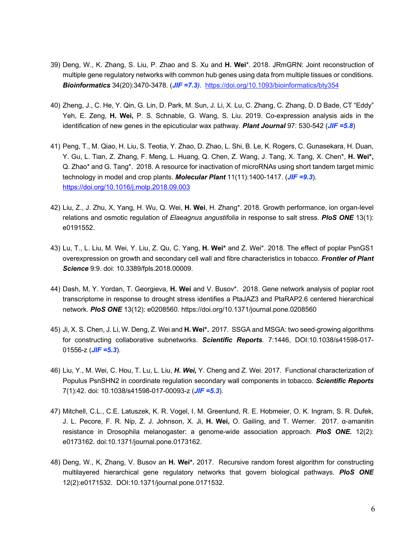- 39) Deng, W., K. Zhang, S. Liu, P. Zhao and S. Xu and **H. Wei**\*. 2018. JRmGRN: Joint reconstruction of multiple gene regulatory networks with common hub genes using data from multiple tissues or conditions. *Bioinformatics* 34(20):3470-3478. (*JIF =7.3)*. https://doi.org/10.1093/bioinformatics/bty354
- 40) Zheng, J., C. He, Y. Qin, G. Lin, D. Park, M. Sun, J. Li, X. Lu, C. Zhang, C. Zhang, D. D Bade, CT "Eddy" Yeh, E. Zeng, **H. Wei,** P. S. Schnable, G. Wang, S. Liu. 2019. Co-expression analysis aids in the identification of new genes in the epicuticular wax pathway. *Plant Journal* 97: 530-542 (*JIF =5.8*)
- 41) Peng, T., M. Qiao, H. Liu, S. Teotia, Y. Zhao, D. Zhao, L. Shi, B. Le, K. Rogers, C. Gunasekara, H. Duan, Y. Gu, L. Tian, Z. Zhang, F. Meng, L. Huang, Q. Chen, Z. Wang, J. Tang, X. Tang, X. Chen\*, **H. Wei\*,** Q. Zhao\* and G. Tang\*. 2018. A resource for inactivation of microRNAs using short tandem target mimic technology in model and crop plants. *Molecular Plant* 11(11):1400-1417. (*JIF =9.3*). https://doi.org/10.1016/j.molp.2018.09.003
- 42) Liu, Z., J. Zhu, X, Yang, H. Wu, Q. Wei, **H. Wei**, H. Zhang\*. 2018. Growth performance, ion organ-level relations and osmotic regulation of *Elaeagnus angustifolia* in response to salt stress. *PloS ONE* 13(1): e0191552.
- 43) Lu, T., L. Liu, M. Wei, Y. Liu, Z. Qu, C. Yang, **H. Wei\*** and Z. Wei\*. 2018. The effect of poplar PsnGS1 overexpression on growth and secondary cell wall and fibre characteristics in tobacco. *Frontier of Plant Science* 9:9. doi: 10.3389/fpls.2018.00009.
- 44) Dash, M, Y. Yordan, T. Georgieva, **H. Wei** and V. Busov\*. 2018. Gene network analysis of poplar root transcriptome in response to drought stress identifies a PtaJAZ3 and PtaRAP2.6 centered hierarchical network. *PloS ONE* 13(12): e0208560. https://doi.org/10.1371/journal.pone.0208560
- 45) Ji, X. S. Chen, J. Li, W. Deng, Z. Wei and **H. Wei\*.** 2017. SSGA and MSGA: two seed-growing algorithms for constructing collaborative subnetworks. *Scientific Reports*. 7:1446, DOI:10.1038/s41598-017- 01556-z (*JIF =5.3*).
- 46) Liu, Y., M. Wei, C. Hou, T. Lu, L. Liu, *H. Wei,* Y. Cheng and Z. Wei. 2017. Functional characterization of Populus PsnSHN2 in coordinate regulation secondary wall components in tobacco. *Scientific Reports*  7(1):42. doi: 10.1038/s41598-017-00093-z (*JIF =5.3*).
- 47) Mitchell, C.L., C.E. Latuszek, K. R. Vogel, I. M. Greenlund, R. E. Hobmeier, O. K. Ingram, S. R. Dufek, J. L. Pecore, F. R. Nip, Z. J. Johnson, X. Ji, **H. Wei,** O. Gailing, and T. Werner. 2017. α-amanitin resistance in Drosophila melanogaster: a genome-wide association approach. *PloS ONE.* 12(2): e0173162. doi:10.1371/journal.pone.0173162.
- 48) Deng, W., K, Zhang, V. Busov an **H. Wei\*.** 2017. Recursive random forest algorithm for constructing multilayered hierarchical gene regulatory networks that govern biological pathways. *PloS ONE* 12(2):e0171532. DOI:10.1371/journal.pone.0171532.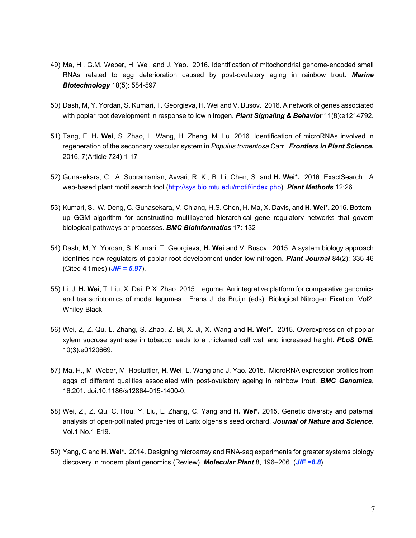- 49) Ma, H., G.M. Weber, H. Wei, and J. Yao. 2016. Identification of mitochondrial genome-encoded small RNAs related to egg deterioration caused by post-ovulatory aging in rainbow trout. *Marine Biotechnology* 18(5): 584-597
- 50) Dash, M, Y. Yordan, S. Kumari, T. Georgieva, H. Wei and V. Busov. 2016. A network of genes associated with poplar root development in response to low nitrogen. *Plant Signaling & Behavior* 11(8):e1214792.
- 51) Tang, F. **H. Wei**, S. Zhao, L. Wang, H. Zheng, M. Lu. 2016. Identification of microRNAs involved in regeneration of the secondary vascular system in *Populus tomentosa* Carr. *Frontiers in Plant Science.* 2016, 7(Article 724):1-17
- 52) Gunasekara, C., A. Subramanian, Avvari, R. K., B. Li, Chen, S. and **H. Wei\*.** 2016. ExactSearch: A web-based plant motif search tool (http://sys.bio.mtu.edu/motif/index.php). *Plant Methods* 12:26
- 53) Kumari, S., W. Deng, C. Gunasekara, V. Chiang, H.S. Chen, H. Ma, X. Davis, and **H. Wei\***. 2016. Bottomup GGM algorithm for constructing multilayered hierarchical gene regulatory networks that govern biological pathways or processes. *BMC Bioinformatics* 17: 132
- 54) Dash, M, Y. Yordan, S. Kumari, T. Georgieva, **H. Wei** and V. Busov. 2015. A system biology approach identifies new regulators of poplar root development under low nitrogen. *Plant Journal* 84(2): 335-46 (Cited 4 times) (*JIF = 5.97*).
- 55) Li, J. **H. Wei**, T. Liu, X. Dai, P.X. Zhao. 2015. Legume: An integrative platform for comparative genomics and transcriptomics of model legumes. Frans J. de Bruijn (eds). Biological Nitrogen Fixation. Vol2. Whiley-Black.
- 56) Wei, Z, Z. Qu, L. Zhang, S. Zhao, Z. Bi, X. Ji, X. Wang and **H. Wei\*.** 2015. Overexpression of poplar xylem sucrose synthase in tobacco leads to a thickened cell wall and increased height. *PLoS ONE*. 10(3):e0120669.
- 57) Ma, H., M. Weber, M. Hostuttler, **H. Wei**, L. Wang and J. Yao. 2015. MicroRNA expression profiles from eggs of different qualities associated with post-ovulatory ageing in rainbow trout. *BMC Genomics*. 16:201. doi:10.1186/s12864-015-1400-0.
- 58) Wei, Z., Z. Qu, C. Hou, Y. Liu, L. Zhang, C. Yang and **H. Wei\*.** 2015. Genetic diversity and paternal analysis of open-pollinated progenies of Larix olgensis seed orchard. *Journal of Nature and Science*. Vol.1 No.1 E19.
- 59) Yang, C and **H. Wei\*.** 2014. Designing microarray and RNA-seq experiments for greater systems biology discovery in modern plant genomics (Review). *Molecular Plant* 8, 196–206. (*JIF =8.8*).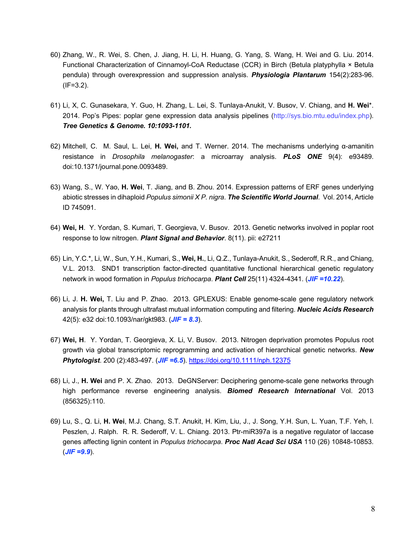- 60) Zhang, W., R. Wei, S. Chen, J. Jiang, H. Li, H. Huang, G. Yang, S. Wang, H. Wei and G. Liu. 2014. Functional Characterization of Cinnamoyl-CoA Reductase (CCR) in Birch (Betula platyphylla × Betula pendula) through overexpression and suppression analysis. *Physiologia Plantarum* 154(2):283-96.  $(IF=3.2)$ .
- 61) Li, X, C. Gunasekara, Y. Guo, H. Zhang, L. Lei, S. Tunlaya-Anukit, V. Busov, V. Chiang, and **H. Wei**\*. 2014. Pop's Pipes: poplar gene expression data analysis pipelines (http://sys.bio.mtu.edu/index.php). *Tree Genetics & Genome. 10:1093-1101.*
- 62) Mitchell, C. M. Saul, L. Lei, **H. Wei,** and T. Werner. 2014. The mechanisms underlying α-amanitin resistance in *Drosophila melanogaster*: a microarray analysis. *PLoS ONE* 9(4): e93489. doi:10.1371/journal.pone.0093489.
- 63) Wang, S., W. Yao, **H. Wei**, T. Jiang, and B. Zhou. 2014. Expression patterns of ERF genes underlying abiotic stresses in dihaploid *Populus simonii X P. nigra*. *The Scientific World Journal*. Vol. 2014, Article ID 745091.
- 64) **Wei, H**. Y. Yordan, S. Kumari, T. Georgieva, V. Busov. 2013. Genetic networks involved in poplar root response to low nitrogen. *Plant Signal and Behavior*. 8(11). pii: e27211
- 65) Lin, Y.C.\*, Li, W., Sun, Y.H., Kumari, S., **Wei, H.**, Li, Q.Z., Tunlaya-Anukit, S., Sederoff, R.R., and Chiang, V.L. 2013. SND1 transcription factor-directed quantitative functional hierarchical genetic regulatory network in wood formation in *Populus trichocarpa*. *Plant Cell* 25(11) 4324-4341. (*JIF =10.22*).
- 66) Li, J. **H. Wei,** T. Liu and P. Zhao. 2013. GPLEXUS: Enable genome-scale gene regulatory network analysis for plants through ultrafast mutual information computing and filtering. *Nucleic Acids Research* 42(5): e32 doi:10.1093/nar/gkt983. (*JIF = 8.3*).
- 67) **Wei, H**. Y. Yordan, T. Georgieva, X. Li, V. Busov. 2013. Nitrogen deprivation promotes Populus root growth via global transcriptomic reprogramming and activation of hierarchical genetic networks. *New Phytologist*. 200 (2):483-497. (*JIF =6.5*). https://doi.org/10.1111/nph.12375
- 68) Li, J., **H. Wei** and P. X. Zhao. 2013. DeGNServer: Deciphering genome-scale gene networks through high performance reverse engineering analysis. *Biomed Research International* Vol. 2013 (856325):110.
- 69) Lu, S., Q. Li, **H. Wei**, M.J. Chang, S.T. Anukit, H. Kim, Liu, J., J. Song, Y.H. Sun, L. Yuan, T.F. Yeh, I. Peszlen, J. Ralph. R. R. Sederoff, V. L. Chiang. 2013. Ptr-miR397a is a negative regulator of laccase genes affecting lignin content in *Populus trichocarpa*. *Proc Natl Acad Sci USA* 110 (26) 10848-10853.  $(JIF = 9.9)$ .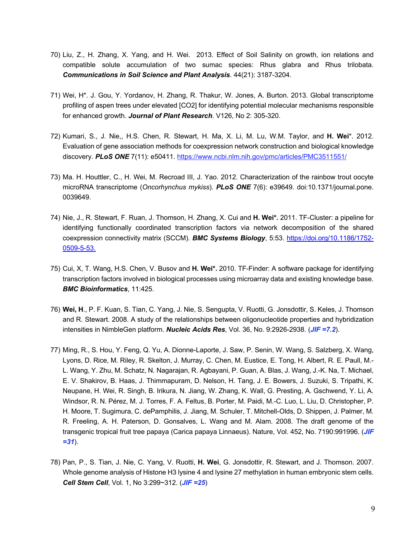- 70) Liu, Z., H. Zhang, X. Yang, and H. Wei. 2013. Effect of Soil Salinity on growth, ion relations and compatible solute accumulation of two sumac species: Rhus glabra and Rhus trilobata. *Communications in Soil Science and Plant Analysis*. 44(21): 3187-3204.
- 71) Wei, H\*. J. Gou, Y. Yordanov, H. Zhang, R. Thakur, W. Jones, A. Burton. 2013. Global transcriptome profiling of aspen trees under elevated [CO2] for identifying potential molecular mechanisms responsible for enhanced growth. *Journal of Plant Research*. V126, No 2: 305-320.
- 72) Kumari, S., J. Nie,, H.S. Chen, R. Stewart, H. Ma, X. Li, M. Lu, W.M. Taylor, and **H. Wei**\*. 2012. Evaluation of gene association methods for coexpression network construction and biological knowledge discovery. **PLoS ONE** 7(11): e50411. https://www.ncbi.nlm.nih.gov/pmc/articles/PMC3511551/
- 73) Ma. H. Houttler, C., H. Wei, M. Recroad III, J. Yao. 2012. Characterization of the rainbow trout oocyte microRNA transcriptome (*Oncorhynchus mykiss*). *PLoS ONE* 7(6): e39649. doi:10.1371/journal.pone. 0039649.
- 74) Nie, J., R. Stewart, F. Ruan, J. Thomson, H. Zhang, X. Cui and **H. Wei\*.** 2011. TF-Cluster: a pipeline for identifying functionally coordinated transcription factors via network decomposition of the shared coexpression connectivity matrix (SCCM). *BMC Systems Biology*, 5:53. https://doi.org/10.1186/1752- 0509-5-53.
- 75) Cui, X, T. Wang, H.S. Chen, V. Busov and **H. Wei\*.** 2010. TF-Finder: A software package for identifying transcription factors involved in biological processes using microarray data and existing knowledge base. *BMC Bioinformatics*, 11:425.
- 76) **Wei, H**., P. F. Kuan, S. Tian, C. Yang, J. Nie, S. Sengupta, V. Ruotti, G. Jonsdottir, S. Keles, J. Thomson and R. Stewart. 2008. A study of the relationships between oligonucleotide properties and hybridization intensities in NimbleGen platform. *Nucleic Acids Res*, Vol. 36, No. 9:2926-2938. (*JIF =7.2*).
- 77) Ming, R., S. Hou, Y. Feng, Q. Yu, A. Dionne-Laporte, J. Saw, P. Senin, W. Wang, S. Salzberg, X. Wang, Lyons, D. Rice, M. Riley, R. Skelton, J. Murray, C. Chen, M. Eustice, E. Tong, H. Albert, R. E. Paull, M.- L. Wang, Y. Zhu, M. Schatz, N. Nagarajan, R. Agbayani, P. Guan, A. Blas, J. Wang, J.-K. Na, T. Michael, E. V. Shakirov, B. Haas, J. Thimmapuram, D. Nelson, H. Tang, J. E. Bowers, J. Suzuki, S. Tripathi, K. Neupane, H. Wei, R. Singh, B. Irikura, N. Jiang, W. Zhang, K. Wall, G. Presting, A. Gschwend, Y. Li, A. Windsor, R. N. Pérez, M. J. Torres, F. A. Feltus, B. Porter, M. Paidi, M.-C. Luo, L. Liu, D. Christopher, P. H. Moore, T. Sugimura, C. dePamphilis, J. Jiang, M. Schuler, T. Mitchell-Olds, D. Shippen, J. Palmer, M. R. Freeling, A. H. Paterson, D. Gonsalves, L. Wang and M. Alam. 2008. The draft genome of the transgenic tropical fruit tree papaya (Carica papaya Linnaeus). Nature, Vol. 452, No. 7190:991996. (*JIF =31*).
- 78) Pan, P., S. Tian, J. Nie, C. Yang, V. Ruotti, **H. Wei**, G. Jonsdottir, R. Stewart, and J. Thomson. 2007. Whole genome analysis of Histone H3 lysine 4 and lysine 27 methylation in human embryonic stem cells. *Cell Stem Cell*, Vol. 1, No 3:299~312. (*JIF =25*)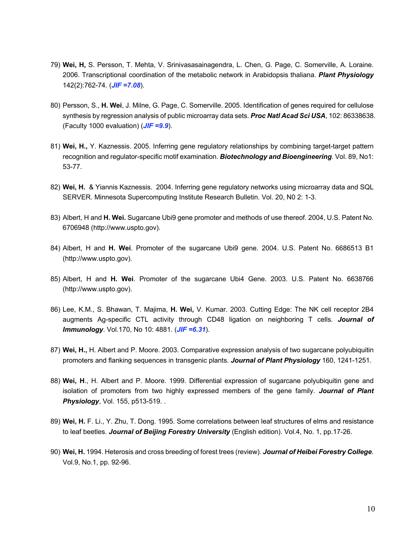- 79) **Wei, H,** S. Persson, T. Mehta, V. Srinivasasainagendra, L. Chen, G. Page, C. Somerville, A. Loraine. 2006. Transcriptional coordination of the metabolic network in Arabidopsis thaliana. *Plant Physiology* 142(2):762-74. (*JIF =7.08*).
- 80) Persson, S., **H. Wei**, J. Milne, G. Page, C. Somerville. 2005. Identification of genes required for cellulose synthesis by regression analysis of public microarray data sets. *Proc Natl Acad Sci USA*, 102: 86338638. (Faculty 1000 evaluation) (*JIF =9.9*).
- 81) **Wei, H.,** Y. Kaznessis. 2005. Inferring gene regulatory relationships by combining target-target pattern recognition and regulator-specific motif examination. *Biotechnology and Bioengineering*. Vol. 89, No1: 53-77.
- 82) **Wei, H.** & Yiannis Kaznessis. 2004. Inferring gene regulatory networks using microarray data and SQL SERVER. Minnesota Supercomputing Institute Research Bulletin. Vol. 20, N0 2: 1-3.
- 83) Albert, H and **H. Wei.** Sugarcane Ubi9 gene promoter and methods of use thereof. 2004, U.S. Patent No. 6706948 (http://www.uspto.gov).
- 84) Albert, H and **H. Wei**. Promoter of the sugarcane Ubi9 gene. 2004. U.S. Patent No. 6686513 B1 (http://www.uspto.gov).
- 85) Albert, H and **H. Wei**. Promoter of the sugarcane Ubi4 Gene. 2003. U.S. Patent No. 6638766 (http://www.uspto.gov).
- 86) Lee, K.M., S. Bhawan, T. Majima, **H. Wei,** V. Kumar. 2003. Cutting Edge: The NK cell receptor 2B4 augments Ag-specific CTL activity through CD48 ligation on neighboring T cells. *Journal of Immunology*. Vol.170, No 10: 4881. (*JIF =6.31*).
- 87) **Wei, H.,** H. Albert and P. Moore. 2003. Comparative expression analysis of two sugarcane polyubiquitin promoters and flanking sequences in transgenic plants. *Journal of Plant Physiology* 160, 1241-1251.
- 88) **Wei, H**., H. Albert and P. Moore. 1999. Differential expression of sugarcane polyubiquitin gene and isolation of promoters from two highly expressed members of the gene family. *Journal of Plant Physiology*, Vol. 155, p513-519. .
- 89) **Wei, H.** F. Li., Y. Zhu, T. Dong. 1995. Some correlations between leaf structures of elms and resistance to leaf beetles. *Journal of Beijing Forestry University* (English edition). Vol.4, No. 1, pp.17-26.
- 90) **Wei, H.** 1994. Heterosis and cross breeding of forest trees (review). *Journal of Heibei Forestry College*. Vol.9, No.1, pp. 92-96.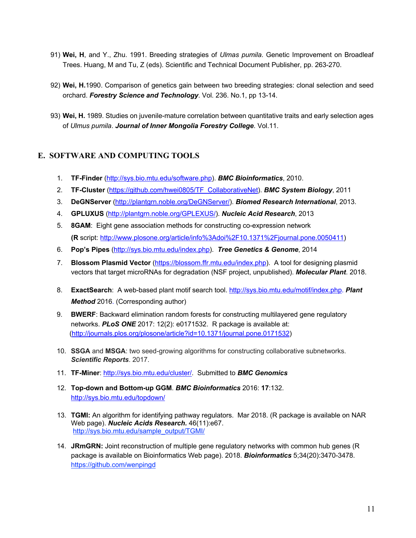- 91) **Wei, H**, and Y., Zhu. 1991. Breeding strategies of *Ulmas pumila*. Genetic Improvement on Broadleaf Trees. Huang, M and Tu, Z (eds). Scientific and Technical Document Publisher, pp. 263-270.
- 92) **Wei, H.**1990. Comparison of genetics gain between two breeding strategies: clonal selection and seed orchard. *Forestry Science and Technology*. Vol. 236. No.1, pp 13-14.
- 93) **Wei, H.** 1989. Studies on juvenile-mature correlation between quantitative traits and early selection ages of *Ulmus pumila*. *Journal of Inner Mongolia Forestry College*. Vol.11.

### **E. SOFTWARE AND COMPUTING TOOLS**

- 1. **TF-Finder** (http://sys.bio.mtu.edu/software.php). *BMC Bioinformatics*, 2010.
- 2. **TF-Cluster** (https://github.com/hwei0805/TF\_CollaborativeNet). *BMC System Biology*, 2011
- 3. **DeGNServer** (http://plantgrn.noble.org/DeGNServer/). *Biomed Research International*, 2013.
- 4. **GPLUXUS** (http://plantgrn.noble.org/GPLEXUS/). *Nucleic Acid Research*, 2013
- 5. **8GAM**: Eight gene association methods for constructing co-expression network **(R** script: http://www.plosone.org/article/info%3Adoi%2F10.1371%2Fjournal.pone.0050411)
- 6. **Pop's Pipes** (http://sys.bio.mtu.edu/index.php). *Tree Genetics & Genome*, 2014
- 7. **Blossom Plasmid Vector** (https://blossom.ffr.mtu.edu/index.php). A tool for designing plasmid vectors that target microRNAs for degradation (NSF project, unpublished). *Molecular Plant*. 2018.
- 8. **ExactSearch**: A web-based plant motif search tool. http://sys.bio.mtu.edu/motif/index.php. *Plant Method* 2016. (Corresponding author)
- 9. **BWERF**: Backward elimination random forests for constructing multilayered gene regulatory networks. *PLoS ONE* 2017: 12(2): e0171532. R package is available at: (http://journals.plos.org/plosone/article?id=10.1371/journal.pone.0171532)
- 10. **SSGA** and **MSGA**: two seed-growing algorithms for constructing collaborative subnetworks. *Scientific Reports*. 2017.
- 11. **TF-Miner**: http://sys.bio.mtu.edu/cluster/. Submitted to *BMC Genomics*
- 12. **Top-down and Bottom-up GGM**. *BMC Bioinformatics* 2016: **17**:132. http://sys.bio.mtu.edu/topdown/
- 13. **TGMI:** An algorithm for identifying pathway regulators. Mar 2018. (R package is available on NAR Web page). *Nucleic Acids Research.* 46(11):e67. http://sys.bio.mtu.edu/sample\_output/TGMI/
- 14. **JRmGRN:** Joint reconstruction of multiple gene regulatory networks with common hub genes (R package is available on Bioinformatics Web page). 2018. *Bioinformatics* 5;34(20):3470-3478. https://github.com/wenpingd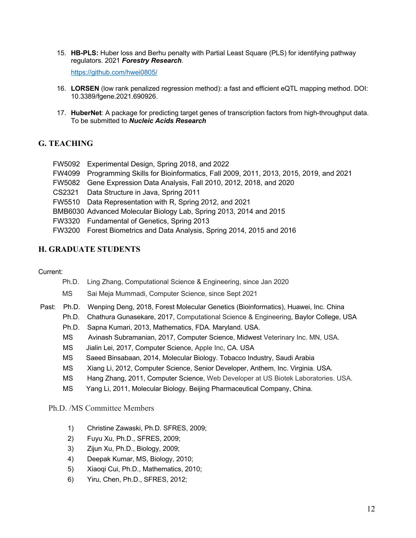15. **HB-PLS:** Huber loss and Berhu penalty with Partial Least Square (PLS) for identifying pathway regulators. 2021 *Forestry Research*.

https://github.com/hwei0805/

- 16. **LORSEN** (low rank penalized regression method): a fast and efficient eQTL mapping method. DOI: 10.3389/fgene.2021.690926.
- 17. **HuberNet**: A package for predicting target genes of transcription factors from high-throughput data. To be submitted to *Nucleic Acids Research*

### **G. TEACHING**

- FW5092 Experimental Design, Spring 2018, and 2022
- FW4099 Programming Skills for Bioinformatics, Fall 2009, 2011, 2013, 2015, 2019, and 2021
- FW5082 Gene Expression Data Analysis, Fall 2010, 2012, 2018, and 2020
- CS2321 Data Structure in Java, Spring 2011
- FW5510 Data Representation with R, Spring 2012, and 2021
- BMB6030 Advanced Molecular Biology Lab, Spring 2013, 2014 and 2015
- FW3320 Fundamental of Genetics, Spring 2013
- FW3200 Forest Biometrics and Data Analysis, Spring 2014, 2015 and 2016

#### **H. GRADUATE STUDENTS**

#### Current:

- Ph.D. Ling Zhang, Computational Science & Engineering, since Jan 2020
- MS Sai Meja Mummadi, Computer Science, since Sept 2021
- Past: Ph.D. Wenping Deng, 2018, Forest Molecular Genetics (Bioinformatics), Huawei, Inc. China
	- Ph.D. Chathura Gunasekare, 2017, Computational Science & Engineering, Baylor College, USA
	- Ph.D. Sapna Kumari, 2013, Mathematics, FDA. Maryland. USA.
	- MS Avinash Subramanian, 2017, Computer Science, Midwest Veterinary Inc. MN, USA.
	- MS Jialin Lei, 2017, Computer Science, Apple Inc, CA. USA
	- MS Saeed Binsabaan, 2014, Molecular Biology. Tobacco Industry, Saudi Arabia
	- MS Xiang Li, 2012, Computer Science, Senior Developer, Anthem, Inc. Virginia. USA.
	- MS Hang Zhang, 2011, Computer Science, Web Developer at US Biotek Laboratories. USA.
	- MS Yang Li, 2011, Molecular Biology. Beijing Pharmaceutical Company, China.

#### Ph.D. /MS Committee Members

- 1) Christine Zawaski, Ph.D. SFRES, 2009;
- 2) Fuyu Xu, Ph.D., SFRES, 2009;
- 3) Zijun Xu, Ph.D., Biology, 2009;
- 4) Deepak Kumar, MS, Biology, 2010;
- 5) Xiaoqi Cui, Ph.D., Mathematics, 2010;
- 6) Yiru, Chen, Ph.D., SFRES, 2012;